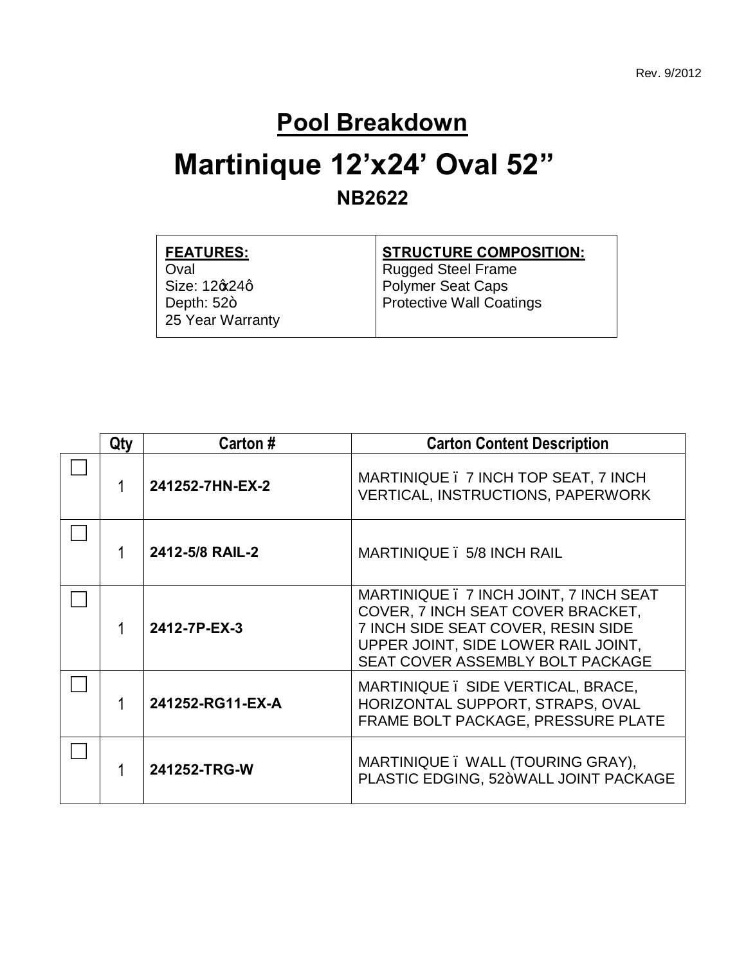#### **Pool Breakdown**

### **Martinique 12'x24' Oval 52" NB2622**

| <b>FEATURES:</b>      | <b>STRUCTURE COMPOSITION:</b>   |
|-----------------------|---------------------------------|
| Oval                  | <b>Rugged Steel Frame</b>       |
| Size: 12 $\alpha$ 24q | <b>Polymer Seat Caps</b>        |
| Depth: $52+$          | <b>Protective Wall Coatings</b> |
| 25 Year Warranty      |                                 |
|                       |                                 |

| Qty | Carton #                                      | <b>Carton Content Description</b>                                                                                                                                                            |  |  |
|-----|-----------------------------------------------|----------------------------------------------------------------------------------------------------------------------------------------------------------------------------------------------|--|--|
|     | 241252-7HN-EX-2                               | MARTINIQUE . 7 INCH TOP SEAT, 7 INCH<br><b>VERTICAL, INSTRUCTIONS, PAPERWORK</b>                                                                                                             |  |  |
|     | 2412-5/8 RAIL-2<br>MARTINIQUE . 5/8 INCH RAIL |                                                                                                                                                                                              |  |  |
|     | 2412-7P-EX-3                                  | MARTINIQUE . 7 INCH JOINT, 7 INCH SEAT<br>COVER, 7 INCH SEAT COVER BRACKET,<br>7 INCH SIDE SEAT COVER, RESIN SIDE<br>UPPER JOINT, SIDE LOWER RAIL JOINT,<br>SEAT COVER ASSEMBLY BOLT PACKAGE |  |  |
|     | 241252-RG11-EX-A                              | MARTINIQUE. SIDE VERTICAL, BRACE,<br>HORIZONTAL SUPPORT, STRAPS, OVAL<br>FRAME BOLT PACKAGE, PRESSURE PLATE                                                                                  |  |  |
|     | 241252-TRG-W                                  | MARTINIQUE. WALL (TOURING GRAY),<br>PLASTIC EDGING, 52+WALL JOINT PACKAGE                                                                                                                    |  |  |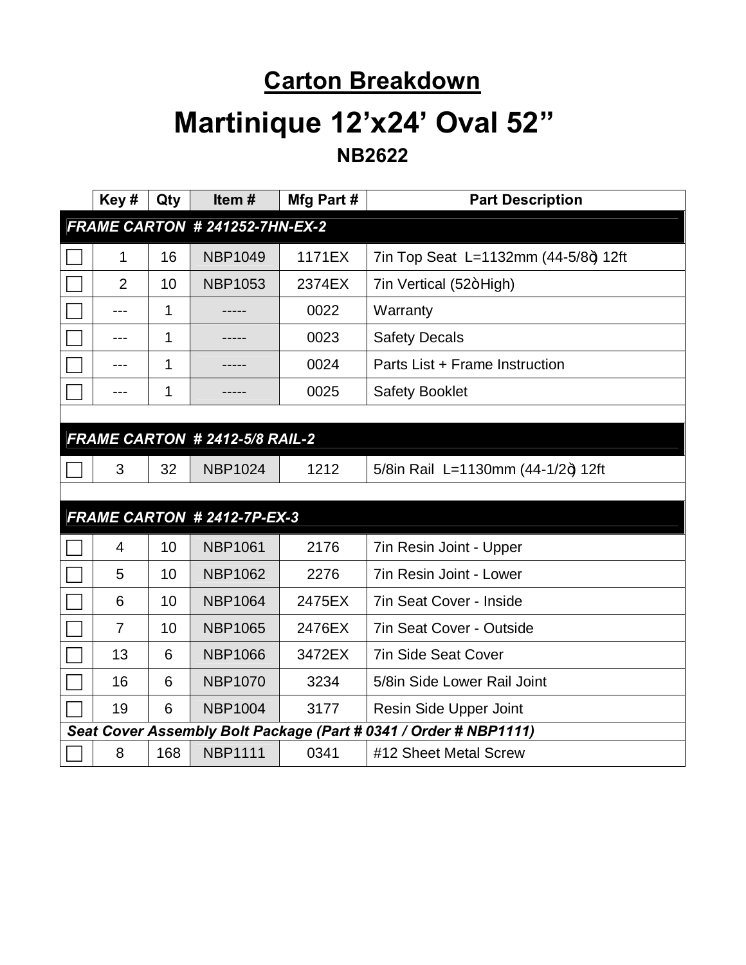## **Carton Breakdown Martinique 12'x24' Oval 52" NB2622**

| Key#           | Qty | Item#                          | Mfg Part # | <b>Part Description</b>                                          |
|----------------|-----|--------------------------------|------------|------------------------------------------------------------------|
|                |     | FRAME CARTON # 241252-7HN-EX-2 |            |                                                                  |
| 1              | 16  | <b>NBP1049</b>                 | 1171EX     | 7in Top Seat L=1132mm (44-5/8+) 12ft                             |
| $\overline{2}$ | 10  | <b>NBP1053</b>                 | 2374EX     | 7in Vertical (52+High)                                           |
| $---$          | 1   | -----                          | 0022       | Warranty                                                         |
| ---            | 1   |                                | 0023       | <b>Safety Decals</b>                                             |
|                | 1   |                                | 0024       | Parts List + Frame Instruction                                   |
| ---            | 1   |                                | 0025       | <b>Safety Booklet</b>                                            |
|                |     |                                |            |                                                                  |
|                |     | FRAME CARTON # 2412-5/8 RAIL-2 |            |                                                                  |
| 3              | 32  | <b>NBP1024</b>                 | 1212       | 5/8in Rail L=1130mm (44-1/2+) 12ft                               |
|                |     |                                |            |                                                                  |
|                |     | FRAME CARTON # 2412-7P-EX-3    |            |                                                                  |
| $\overline{4}$ | 10  | <b>NBP1061</b>                 | 2176       | 7in Resin Joint - Upper                                          |
| 5              | 10  | <b>NBP1062</b>                 | 2276       | <b>7in Resin Joint - Lower</b>                                   |
| 6              | 10  | <b>NBP1064</b>                 | 2475EX     | <b>7in Seat Cover - Inside</b>                                   |
| $\overline{7}$ | 10  | <b>NBP1065</b>                 | 2476EX     | <b>7in Seat Cover - Outside</b>                                  |
| 13             | 6   | <b>NBP1066</b>                 | 3472EX     | <b>7in Side Seat Cover</b>                                       |
| 16             | 6   | <b>NBP1070</b>                 | 3234       | 5/8in Side Lower Rail Joint                                      |
| 19             | 6   | <b>NBP1004</b>                 | 3177       | Resin Side Upper Joint                                           |
|                |     |                                |            | Seat Cover Assembly Bolt Package (Part # 0341 / Order # NBP1111) |
| 8              | 168 | <b>NBP1111</b>                 | 0341       | #12 Sheet Metal Screw                                            |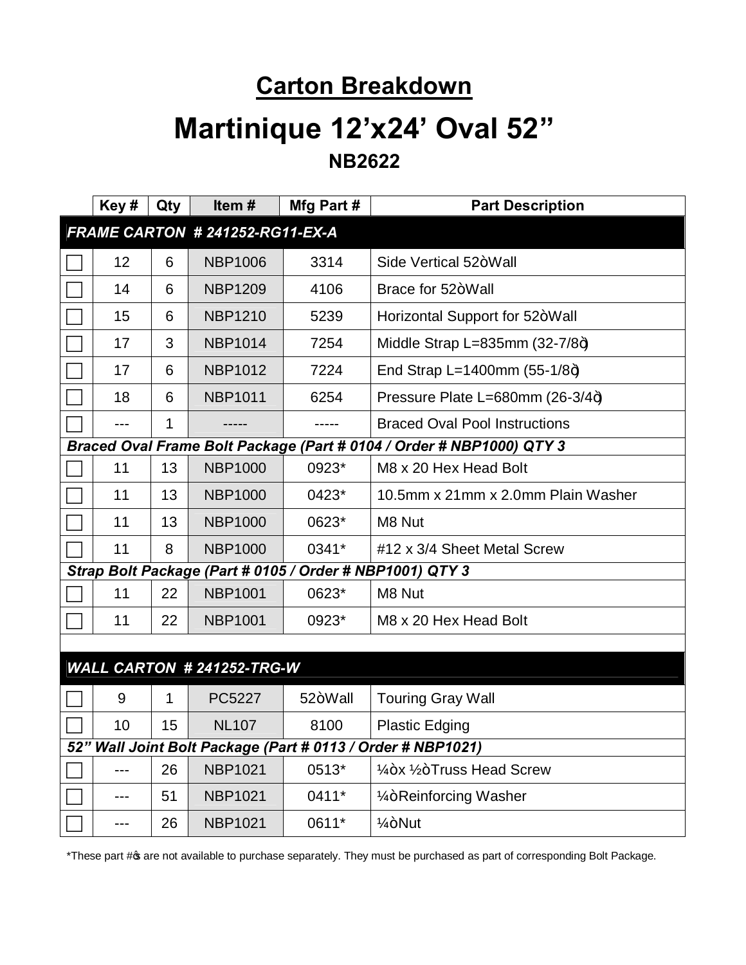# **Carton Breakdown Martinique 12'x24' Oval 52"**

**NB2622**

| Key#                                                                 | Qty         | Item#                           | Mfg Part # | <b>Part Description</b>                              |
|----------------------------------------------------------------------|-------------|---------------------------------|------------|------------------------------------------------------|
|                                                                      |             | FRAME CARTON # 241252-RG11-EX-A |            |                                                      |
| 12                                                                   | 6           | <b>NBP1006</b>                  | 3314       | Side Vertical 52+Wall                                |
| 14                                                                   | 6           | <b>NBP1209</b>                  | 4106       | Brace for 52+Wall                                    |
| 15                                                                   | 6           | <b>NBP1210</b>                  | 5239       | Horizontal Support for 52+Wall                       |
| 17                                                                   | 3           | <b>NBP1014</b>                  | 7254       | Middle Strap L=835mm $(32-7/8+)$                     |
| 17                                                                   | 6           | <b>NBP1012</b>                  | 7224       | End Strap L=1400mm $(55-1/8+)$                       |
| 18                                                                   | 6           | <b>NBP1011</b>                  | 6254       | Pressure Plate L=680mm (26-3/4+)                     |
| $---$                                                                | 1           | -----                           | -----      | <b>Braced Oval Pool Instructions</b>                 |
| Braced Oval Frame Bolt Package (Part # 0104 / Order # NBP1000) QTY 3 |             |                                 |            |                                                      |
| 11                                                                   | 13          | <b>NBP1000</b>                  | 0923*      | M8 x 20 Hex Head Bolt                                |
| 11                                                                   | 13          | <b>NBP1000</b>                  | 0423*      | 10.5mm x 21mm x 2.0mm Plain Washer                   |
| 11                                                                   | 13          | <b>NBP1000</b>                  | 0623*      | M8 Nut                                               |
| 11                                                                   | 8           | <b>NBP1000</b>                  | 0341*      | #12 x 3/4 Sheet Metal Screw                          |
| Strap Bolt Package (Part # 0105 / Order # NBP1001) QTY 3             |             |                                 |            |                                                      |
| 11                                                                   | 22          | <b>NBP1001</b>                  | 0623*      | M8 Nut                                               |
| 11                                                                   | 22          | <b>NBP1001</b>                  | 0923*      | M8 x 20 Hex Head Bolt                                |
|                                                                      |             |                                 |            |                                                      |
|                                                                      |             | WALL CARTON # 241252-TRG-W      |            |                                                      |
| 9                                                                    | $\mathbf 1$ | PC5227                          | 52+Wall    | <b>Touring Gray Wall</b>                             |
| 10                                                                   | 15          | <b>NL107</b>                    | 8100       | <b>Plastic Edging</b>                                |
| 52" Wall Joint Bolt Package (Part # 0113 / Order # NBP1021)          |             |                                 |            |                                                      |
| ---                                                                  | 26          | <b>NBP1021</b>                  | 0513*      | 1/ <sub>4</sub> +x 1/ <sub>2</sub> +Truss Head Screw |
| ---                                                                  | 51          | <b>NBP1021</b>                  | 0411*      | 1/ <sub>4</sub> +Reinforcing Washer                  |
| ---                                                                  | 26          | <b>NBP1021</b>                  | 0611*      | $1/4 + N$ ut                                         |

\*These part # of available to purchase separately. They must be purchased as part of corresponding Bolt Package.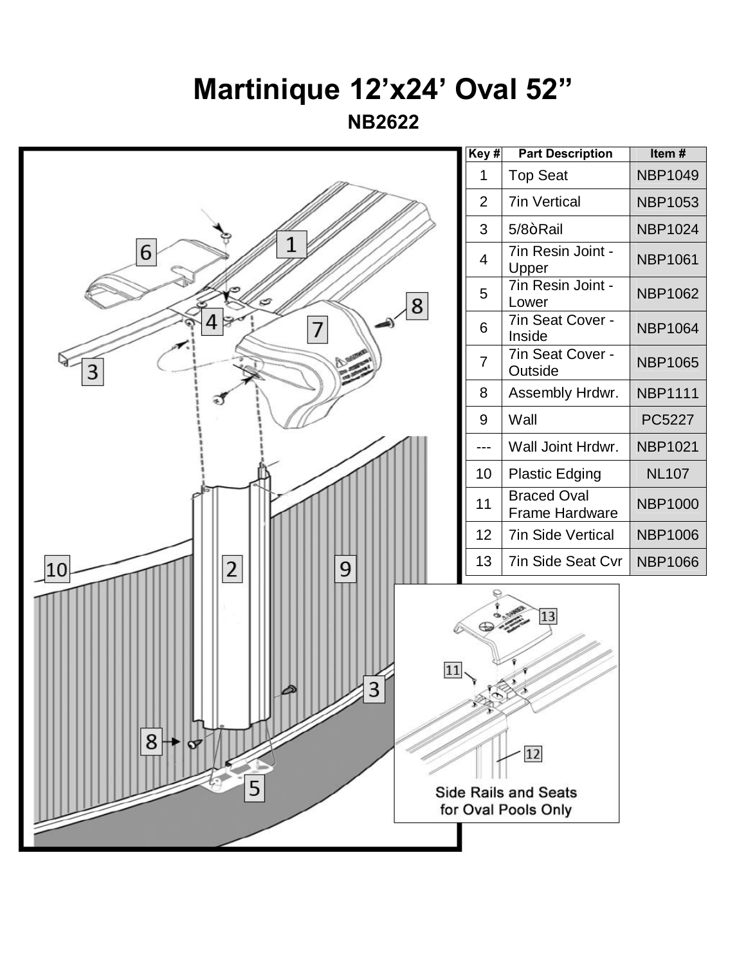## **Martinique 12'x24' Oval 52"**

**NB2622**